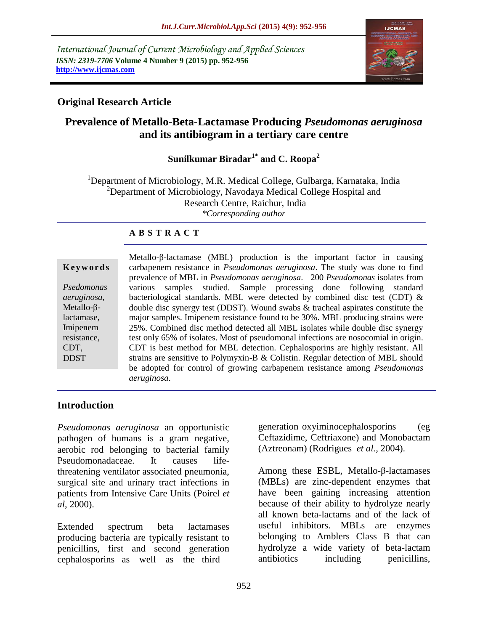*International Journal of Current Microbiology and Applied Sciences ISSN: 2319-7706* **Volume 4 Number 9 (2015) pp. 952-956 http://www.ijcmas.com**



### **Original Research Article**

# **Prevalence of Metallo-Beta-Lactamase Producing** *Pseudomonas aeruginosa* **and its antibiogram in a tertiary care centre**

# **Sunilkumar Biradar1\* and C. Roopa<sup>2</sup>**

<sup>1</sup>Department of Microbiology, M.R. Medical College, Gulbarga, Karnataka, India <sup>2</sup>Department of Microbiology, Navodaya Medical College Hospital and Research Centre, Raichur, India *\*Corresponding author*

### **A B S T R A C T**

|                    | Metallo- $\beta$ -lactamase (MBL) production is the important factor in causing     |
|--------------------|-------------------------------------------------------------------------------------|
| Keywords           | carbapenem resistance in <i>Pseudomonas aeruginosa</i> . The study was done to find |
|                    | prevalence of MBL in Pseudomonas aeruginosa. 200 Pseudomonas isolates from          |
| Psedomonas         | samples studied. Sample processing done following standard<br>various               |
| aeruginosa,        | bacteriological standards. MBL were detected by combined disc test (CDT) $\&$       |
| Metallo- $\beta$ - | double disc synergy test (DDST). Wound swabs $\&$ tracheal aspirates constitute the |
| lactamase,         | major samples. Imipenem resistance found to be 30%. MBL producing strains were      |
| Imipenem           | 25%. Combined disc method detected all MBL isolates while double disc synergy       |
| resistance,        | test only 65% of isolates. Most of pseudomonal infections are nosocomial in origin. |
| CDT,               | CDT is best method for MBL detection. Cephalosporins are highly resistant. All      |
| <b>DDST</b>        | strains are sensitive to Polymyxin-B & Colistin. Regular detection of MBL should    |
|                    | be adopted for control of growing carbapenem resistance among <i>Pseudomonas</i>    |
|                    | aeruginosa.                                                                         |

### **Introduction**

*Pseudomonas aeruginosa* an opportunistic pathogen of humans is a gram negative, aerobic rod belonging to bacterial family Pseudomonadaceae. It causes lifethreatening ventilator associated pneumonia, surgical site and urinary tract infections in patients from Intensive Care Units (Poirel *et al*, 2000).

Extended spectrum beta lactamases producing bacteria are typically resistant to penicillins, first and second generation cephalosporins as well as the third

generation oxyiminocephalosporins (eg Ceftazidime, Ceftriaxone) and Monobactam (Aztreonam) (Rodrigues *et al.,* 2004).

Among these ESBL, Metallo-β-lactamases (MBLs) are zinc-dependent enzymes that have been gaining increasing attention because of their ability to hydrolyze nearly all known beta-lactams and of the lack of useful inhibitors. MBLs are enzymes belonging to Amblers Class B that can hydrolyze a wide variety of beta-lactam antibiotics including penicillins,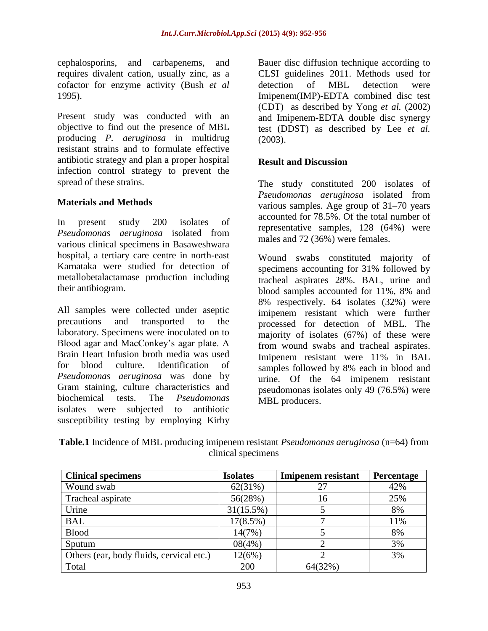cephalosporins, and carbapenems, and requires divalent cation, usually zinc, as a cofactor for enzyme activity (Bush *et al* 1995).

Present study was conducted with an objective to find out the presence of MBL producing *P. aeruginosa* in multidrug resistant strains and to formulate effective antibiotic strategy and plan a proper hospital infection control strategy to prevent the spread of these strains.

### **Materials and Methods**

In present study 200 isolates of *Pseudomonas aeruginosa* isolated from various clinical specimens in Basaweshwara hospital, a tertiary care centre in north-east Karnataka were studied for detection of metallobetalactamase production including their antibiogram.

All samples were collected under aseptic precautions and transported to the laboratory. Specimens were inoculated on to Blood agar and MacConkey's agar plate. A Brain Heart Infusion broth media was used for blood culture. Identification of *Pseudomonas aeruginosa* was done by Gram staining, culture characteristics and biochemical tests. The *Pseudomonas* isolates were subjected to antibiotic susceptibility testing by employing Kirby

Bauer disc diffusion technique according to CLSI guidelines 2011. Methods used for detection of MBL detection were Imipenem(IMP)-EDTA combined disc test (CDT) as described by Yong *et al.* (2002) and Imipenem-EDTA double disc synergy test (DDST) as described by Lee *et al.*  (2003).

#### **Result and Discussion**

The study constituted 200 isolates of *Pseudomonas aeruginosa* isolated from various samples. Age group of 31–70 years accounted for 78.5%. Of the total number of representative samples, 128 (64%) were males and 72 (36%) were females.

Wound swabs constituted majority of specimens accounting for 31% followed by tracheal aspirates 28%. BAL, urine and blood samples accounted for 11%, 8% and 8% respectively. 64 isolates (32%) were imipenem resistant which were further processed for detection of MBL. The majority of isolates (67%) of these were from wound swabs and tracheal aspirates. Imipenem resistant were 11% in BAL samples followed by 8% each in blood and urine. Of the 64 imipenem resistant pseudomonas isolates only 49 (76.5%) were MBL producers.

**Table.1** Incidence of MBL producing imipenem resistant *Pseudomonas aeruginosa* (n=64) from clinical specimens

| <b>Clinical specimens</b>                | <b>Isolates</b> | <b>Imipenem</b> resistant | Percentage |
|------------------------------------------|-----------------|---------------------------|------------|
| Wound swab                               | 62(31%)         | 27                        | 42%        |
| Tracheal aspirate                        | 56(28%)         | 16                        | 25%        |
| Urine                                    | 31(15.5%)       |                           | 8%         |
| <b>BAL</b>                               | 17(8.5%)        |                           | 11%        |
| <b>Blood</b>                             | 14(7%)          |                           | 8%         |
| Sputum                                   | 08(4%)          |                           | 3%         |
| Others (ear, body fluids, cervical etc.) | 12(6%)          |                           | 3%         |
| Total                                    | 200             | 64(32%)                   |            |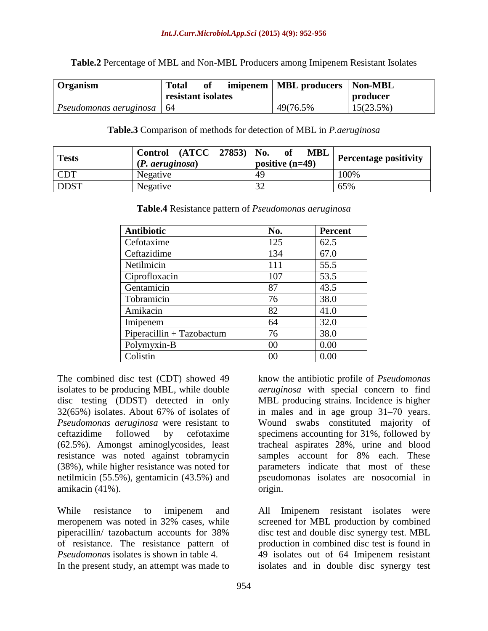**Table.2** Percentage of MBL and Non-MBL Producers among Imipenem Resistant Isolates

| Organism                    | <b>Total</b>       | <sub>of</sub> | imipenem   MBL producers   Non-MBL |              |
|-----------------------------|--------------------|---------------|------------------------------------|--------------|
|                             | resistant isolates |               |                                    | producer     |
| Pseudomonas aeruginosa   64 |                    |               | 49(76.5%)                          | $15(23.5\%)$ |

**Table.3** Comparison of methods for detection of MBL in *P.aeruginosa*

| <b>Tests</b> | $(ATCC 27853)$ No.<br><b>Control</b><br>(P. aeruginosa) | <b>MBL</b><br>of<br>positive $(n=49)$ | <b>Percentage positivity</b> |
|--------------|---------------------------------------------------------|---------------------------------------|------------------------------|
| <b>CDT</b>   | Negative                                                | 49                                    | 100%                         |
| <b>DDST</b>  | Negative                                                | $3^{\circ}$                           | 65%                          |

| <b>Antibiotic</b>           | No. | <b>Percent</b> |
|-----------------------------|-----|----------------|
| Cefotaxime                  | 125 | 62.5           |
| Ceftazidime                 | 134 | 67.0           |
| Netilmicin                  | 111 | 55.5           |
| Ciprofloxacin               | 107 | 53.5           |
| Gentamicin                  | 87  | 43.5           |
| Tobramicin                  | 76  | 38.0           |
| Amikacin                    | 82  | 41.0           |
| Imipenem                    | 64  | 32.0           |
| $Piperacillin + Taxobactum$ | 76  | 38.0           |
| Polymyxin-B                 | 00  | 0.00           |
| Colistin                    | 00  | 0.00           |

**Table.4** Resistance pattern of *Pseudomonas aeruginosa*

The combined disc test (CDT) showed 49 isolates to be producing MBL, while double disc testing (DDST) detected in only 32(65%) isolates. About 67% of isolates of *Pseudomonas aeruginosa* were resistant to ceftazidime followed by cefotaxime (62.5%). Amongst aminoglycosides, least resistance was noted against tobramycin (38%), while higher resistance was noted for netilmicin (55.5%), gentamicin (43.5%) and amikacin (41%).

While resistance to imipenem and meropenem was noted in 32% cases, while piperacillin/ tazobactum accounts for 38% of resistance. The resistance pattern of *Pseudomonas* isolates is shown in table 4. In the present study, an attempt was made to

know the antibiotic profile of *Pseudomonas aeruginosa* with special concern to find MBL producing strains. Incidence is higher in males and in age group 31–70 years. Wound swabs constituted majority of specimens accounting for 31%, followed by tracheal aspirates 28%, urine and blood samples account for 8% each. These parameters indicate that most of these pseudomonas isolates are nosocomial in origin.

All Imipenem resistant isolates were screened for MBL production by combined disc test and double disc synergy test. MBL production in combined disc test is found in 49 isolates out of 64 Imipenem resistant isolates and in double disc synergy test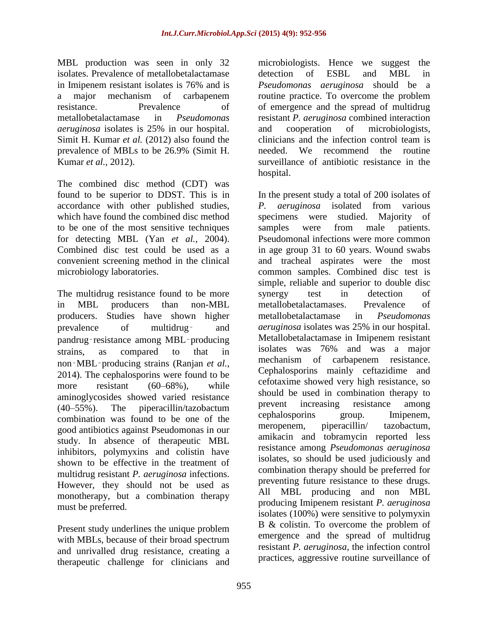MBL production was seen in only 32 isolates. Prevalence of metallobetalactamase in Imipenem resistant isolates is 76% and is a major mechanism of carbapenem resistance. Prevalence of metallobetalactamase in *Pseudomonas aeruginosa* isolates is 25% in our hospital. Simit H. Kumar *et al.* (2012) also found the prevalence of MBLs to be 26.9% (Simit H. Kumar *et al.,* 2012).

The combined disc method (CDT) was found to be superior to DDST. This is in accordance with other published studies, which have found the combined disc method to be one of the most sensitive techniques for detecting MBL (Yan *et al.,* 2004). Combined disc test could be used as a convenient screening method in the clinical microbiology laboratories.

The multidrug resistance found to be more in MBL producers than non-MBL producers. Studies have shown higher prevalence of multidrug‑ and pandrug‑resistance among MBL‑producing strains, as compared to that in non‑MBL‑producing strains (Ranjan *et al.,* 2014). The cephalosporins were found to be more resistant (60–68%), while aminoglycosides showed varied resistance (40–55%). The piperacillin/tazobactum combination was found to be one of the good antibiotics against Pseudomonas in our study. In absence of therapeutic MBL inhibitors, polymyxins and colistin have shown to be effective in the treatment of multidrug resistant *P. aeruginosa* infections. However, they should not be used as monotherapy, but a combination therapy must be preferred.

Present study underlines the unique problem with MBLs, because of their broad spectrum and unrivalled drug resistance, creating a therapeutic challenge for clinicians and

microbiologists. Hence we suggest the detection of ESBL and MBL in *Pseudomonas aeruginosa* should be a routine practice. To overcome the problem of emergence and the spread of multidrug resistant *P. aeruginosa* combined interaction and cooperation of microbiologists, clinicians and the infection control team is needed. We recommend the routine surveillance of antibiotic resistance in the hospital.

In the present study a total of 200 isolates of *P. aeruginosa* isolated from various specimens were studied. Majority of samples were from male patients. Pseudomonal infections were more common in age group 31 to 60 years. Wound swabs and tracheal aspirates were the most common samples. Combined disc test is simple, reliable and superior to double disc synergy test in detection of metallobetalactamases. Prevalence of metallobetalactamase in *Pseudomonas aeruginosa* isolates was 25% in our hospital. Metallobetalactamase in Imipenem resistant isolates was 76% and was a major mechanism of carbapenem resistance. Cephalosporins mainly ceftazidime and cefotaxime showed very high resistance, so should be used in combination therapy to prevent increasing resistance among cephalosporins group. Imipenem, meropenem, piperacillin/ tazobactum, amikacin and tobramycin reported less resistance among *Pseudomonas aeruginosa* isolates, so should be used judiciously and combination therapy should be preferred for preventing future resistance to these drugs. All MBL producing and non MBL producing Imipenem resistant *P. aeruginosa* isolates (100%) were sensitive to polymyxin B & colistin. To overcome the problem of emergence and the spread of multidrug resistant *P. aeruginosa*, the infection control practices, aggressive routine surveillance of